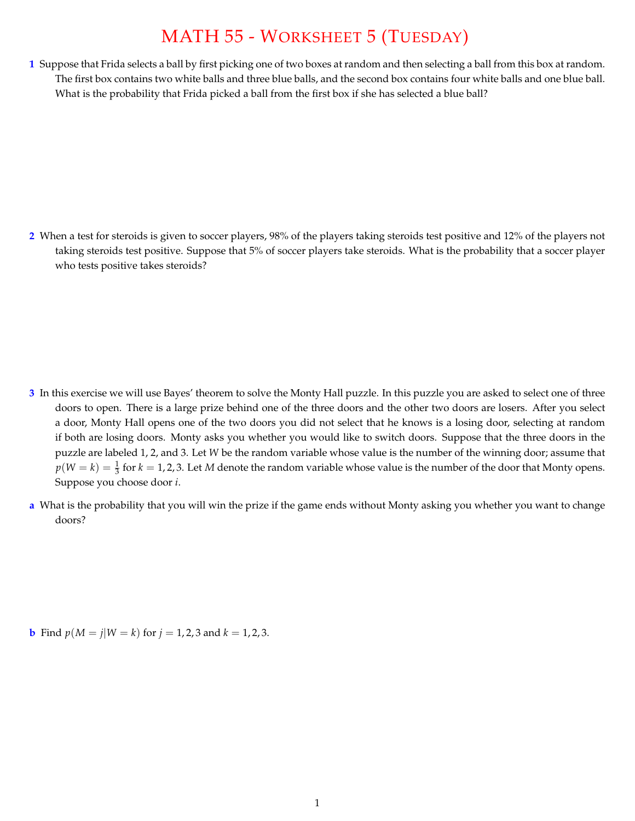## MATH 55 - WORKSHEET 5 (TUESDAY)

**1** Suppose that Frida selects a ball by first picking one of two boxes at random and then selecting a ball from this box at random. The first box contains two white balls and three blue balls, and the second box contains four white balls and one blue ball. What is the probability that Frida picked a ball from the first box if she has selected a blue ball?

**2** When a test for steroids is given to soccer players, 98% of the players taking steroids test positive and 12% of the players not taking steroids test positive. Suppose that 5% of soccer players take steroids. What is the probability that a soccer player who tests positive takes steroids?

- **3** In this exercise we will use Bayes' theorem to solve the Monty Hall puzzle. In this puzzle you are asked to select one of three doors to open. There is a large prize behind one of the three doors and the other two doors are losers. After you select a door, Monty Hall opens one of the two doors you did not select that he knows is a losing door, selecting at random if both are losing doors. Monty asks you whether you would like to switch doors. Suppose that the three doors in the puzzle are labeled 1, 2, and 3. Let *W* be the random variable whose value is the number of the winning door; assume that  $p(W = k) = \frac{1}{3}$  for  $k = 1, 2, 3$ . Let *M* denote the random variable whose value is the number of the door that Monty opens. Suppose you choose door *i*.
- **a** What is the probability that you will win the prize if the game ends without Monty asking you whether you want to change doors?

**b** Find  $p(M = j|W = k)$  for  $j = 1, 2, 3$  and  $k = 1, 2, 3$ .